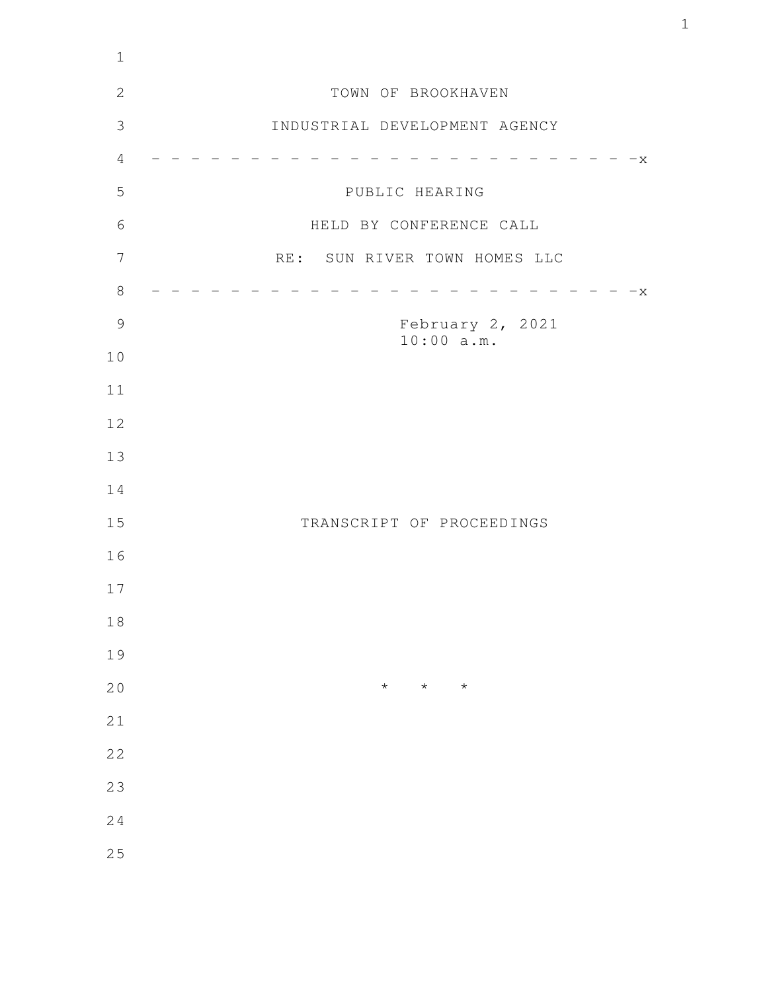| $1\,$          |                                |
|----------------|--------------------------------|
| $\mathbf{2}$   | TOWN OF BROOKHAVEN             |
| $\mathfrak{Z}$ | INDUSTRIAL DEVELOPMENT AGENCY  |
| $\overline{4}$ | $-x$                           |
| 5              | PUBLIC HEARING                 |
| 6              | HELD BY CONFERENCE CALL        |
| 7              | RE: SUN RIVER TOWN HOMES LLC   |
| $8\,$          | $-x$                           |
| $\mathcal{G}$  | February 2, 2021<br>10:00 a.m. |
| $10$           |                                |
| 11             |                                |
| 12             |                                |
| 13             |                                |
| 14             |                                |
| 15             | TRANSCRIPT OF PROCEEDINGS      |
| 16             |                                |
| 17             |                                |
| $1\,8$         |                                |
| 19             |                                |
| 20             | $\star$<br>$\star$<br>$\star$  |
| 21             |                                |
| 22             |                                |
| 23             |                                |
| 24             |                                |
| 25             |                                |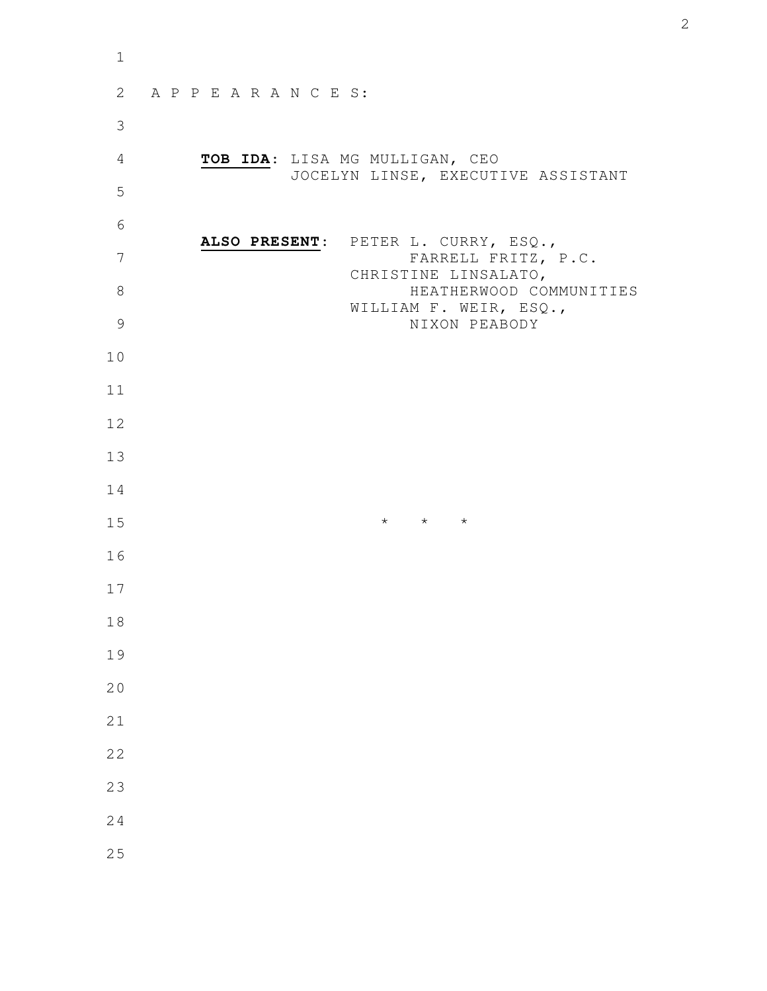| $\mathbf 1$    |                                                                      |
|----------------|----------------------------------------------------------------------|
| 2              | APPEARANCES:                                                         |
| $\mathfrak{Z}$ |                                                                      |
| $\overline{4}$ | TOB IDA: LISA MG MULLIGAN, CEO<br>JOCELYN LINSE, EXECUTIVE ASSISTANT |
| 5              |                                                                      |
| 6              | ALSO PRESENT: PETER L. CURRY, ESQ.,                                  |
| 7              | FARRELL FRITZ, P.C.<br>CHRISTINE LINSALATO,                          |
| $8\,$          | HEATHERWOOD COMMUNITIES<br>WILLIAM F. WEIR, ESQ.,                    |
| $\mathcal{G}$  | NIXON PEABODY                                                        |
| 10             |                                                                      |
| 11             |                                                                      |
| 12             |                                                                      |
| 13             |                                                                      |
| 14             |                                                                      |
| 15             | $\star$ $\star$ $\star$                                              |
| 16             |                                                                      |
| 17             |                                                                      |
| 18             |                                                                      |
| 19             |                                                                      |
| 20             |                                                                      |
| 21             |                                                                      |
| 22             |                                                                      |
| 23             |                                                                      |
| 24             |                                                                      |
| 25             |                                                                      |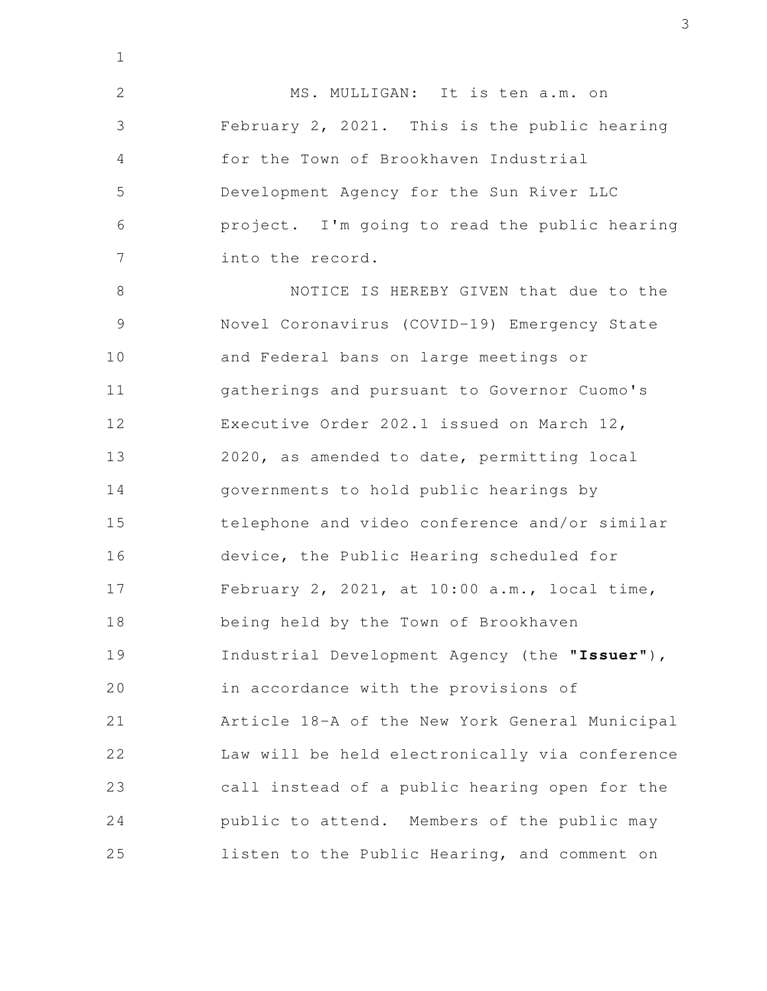MS. MULLIGAN: It is ten a.m. on February 2, 2021. This is the public hearing for the Town of Brookhaven Industrial

Development Agency for the Sun River LLC project. I'm going to read the public hearing into the record. 5 6 7

1

2

3

4

NOTICE IS HEREBY GIVEN that due to the Novel Coronavirus (COVID-19) Emergency State and Federal bans on large meetings or gatherings and pursuant to Governor Cuomo's Executive Order 202.1 issued on March 12, 2020, as amended to date, permitting local governments to hold public hearings by telephone and video conference and/or similar device, the Public Hearing scheduled for February 2, 2021, at 10:00 a.m., local time, being held by the Town of Brookhaven Industrial Development Agency (the "**Issuer**"), in accordance with the provisions of Article 18-A of the New York General Municipal Law will be held electronically via conference call instead of a public hearing open for the public to attend. Members of the public may listen to the Public Hearing, and comment on 8 9 10 11 12 13 14 15 16 17 18 19 20 21 22 23 24 25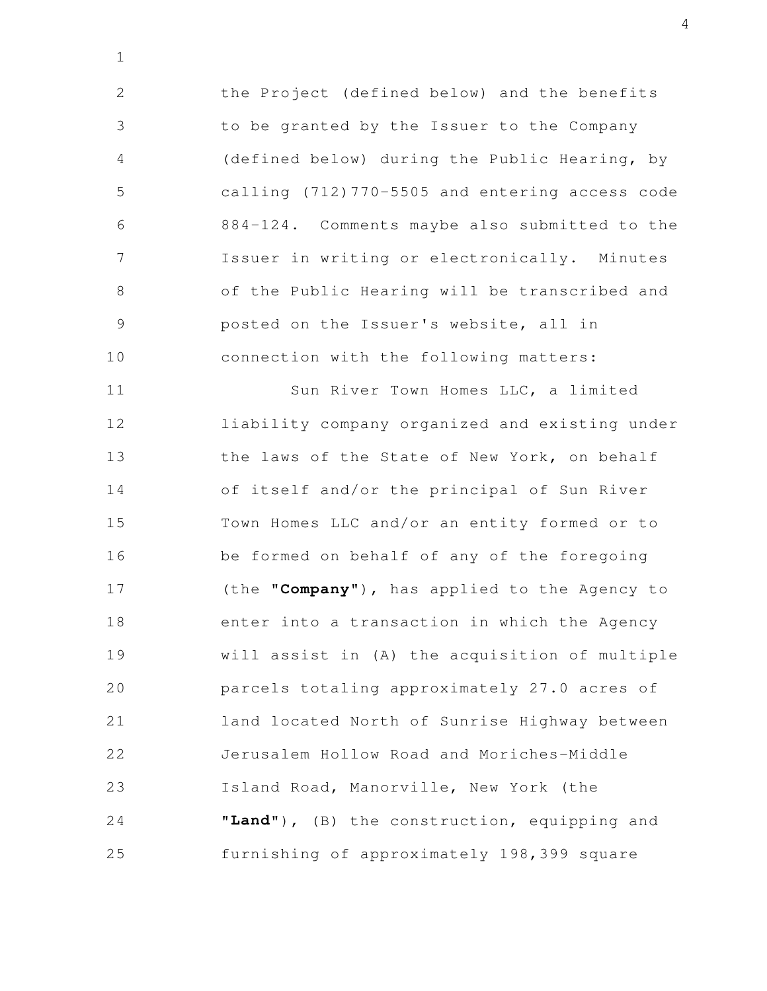the Project (defined below) and the benefits to be granted by the Issuer to the Company (defined below) during the Public Hearing, by calling (712)770-5505 and entering access code 884-124. Comments maybe also submitted to the Issuer in writing or electronically. Minutes of the Public Hearing will be transcribed and posted on the Issuer's website, all in connection with the following matters: 2 3 4 5 6 7 8 9 10

1

Sun River Town Homes LLC, a limited liability company organized and existing under the laws of the State of New York, on behalf of itself and/or the principal of Sun River Town Homes LLC and/or an entity formed or to be formed on behalf of any of the foregoing (the "**Company**"), has applied to the Agency to enter into a transaction in which the Agency will assist in (A) the acquisition of multiple parcels totaling approximately 27.0 acres of land located North of Sunrise Highway between Jerusalem Hollow Road and Moriches-Middle Island Road, Manorville, New York (the "**Land**"), (B) the construction, equipping and furnishing of approximately 198,399 square 11 12 13 14 15 16 17 18 19 20 21 22 23 24 25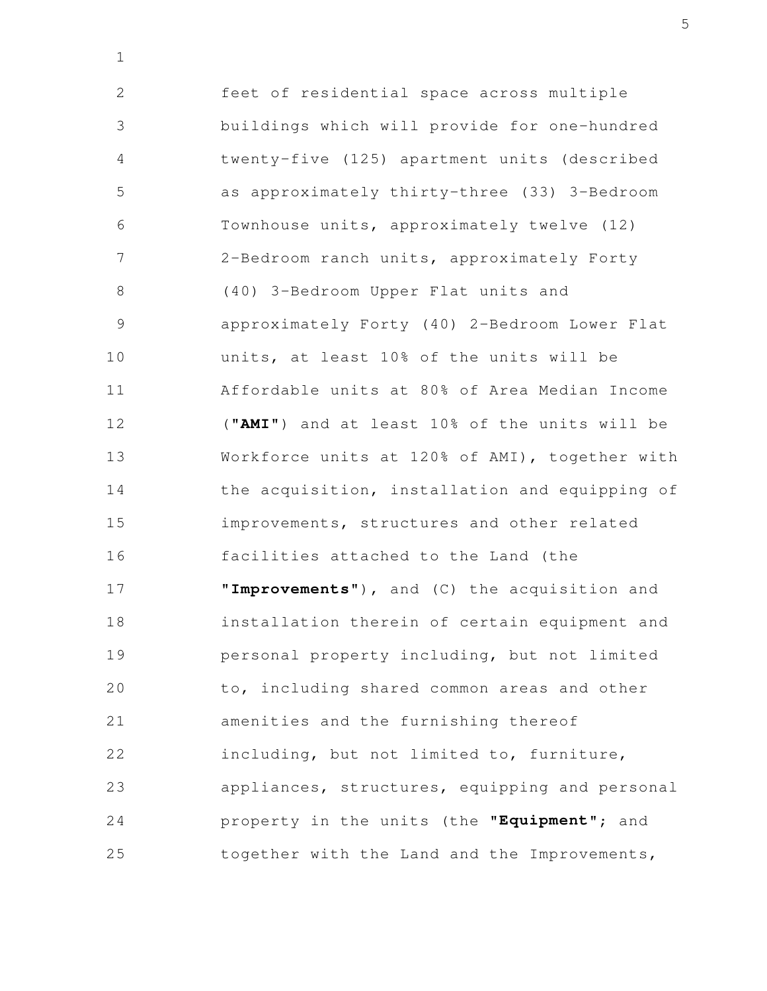feet of residential space across multiple buildings which will provide for one-hundred twenty-five (125) apartment units (described as approximately thirty-three (33) 3-Bedroom Townhouse units, approximately twelve (12) 2-Bedroom ranch units, approximately Forty (40) 3-Bedroom Upper Flat units and approximately Forty (40) 2-Bedroom Lower Flat units, at least 10% of the units will be Affordable units at 80% of Area Median Income ("**AMI**") and at least 10% of the units will be Workforce units at 120% of AMI), together with the acquisition, installation and equipping of improvements, structures and other related facilities attached to the Land (the "**Improvements**"), and (C) the acquisition and installation therein of certain equipment and personal property including, but not limited to, including shared common areas and other amenities and the furnishing thereof including, but not limited to, furniture, appliances, structures, equipping and personal property in the units (the "**Equipment**"; and together with the Land and the Improvements, 2 3 4 5 6 7 8 9 10 11 12 13 14 15 16 17 18 19 20 21 22 23 24 25

1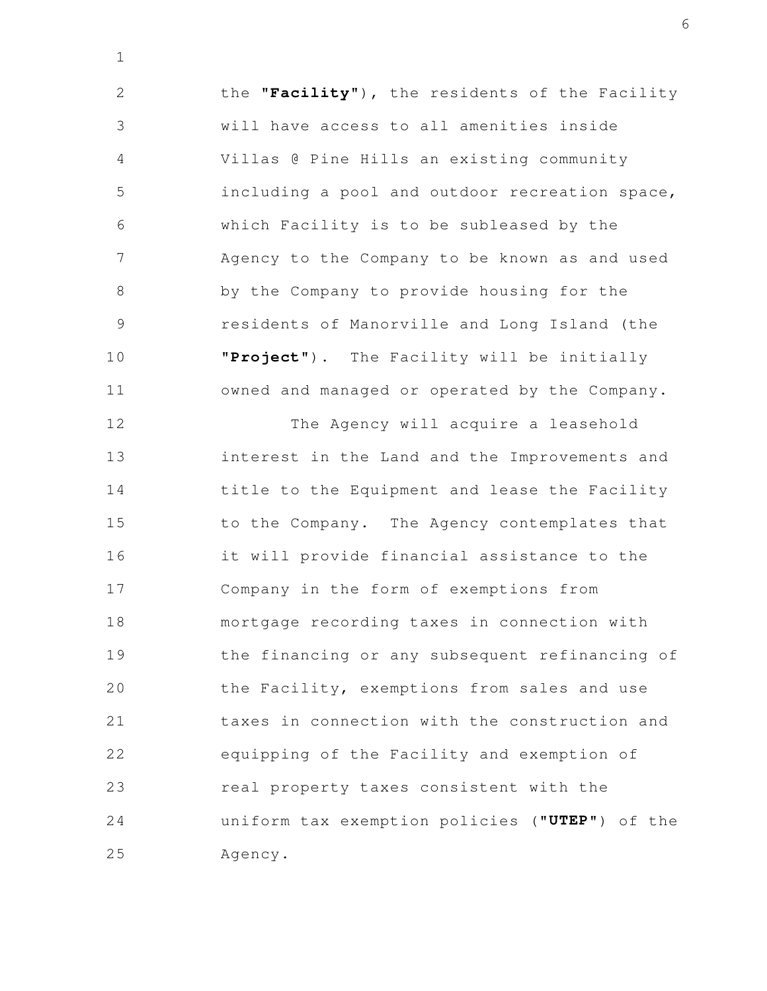the "**Facility**"), the residents of the Facility will have access to all amenities inside Villas @ Pine Hills an existing community including a pool and outdoor recreation space, which Facility is to be subleased by the Agency to the Company to be known as and used by the Company to provide housing for the residents of Manorville and Long Island (the "**Project**"). The Facility will be initially owned and managed or operated by the Company. 2 3 4 5 6 7 8 9 10 11

1

The Agency will acquire a leasehold interest in the Land and the Improvements and title to the Equipment and lease the Facility to the Company. The Agency contemplates that it will provide financial assistance to the Company in the form of exemptions from mortgage recording taxes in connection with the financing or any subsequent refinancing of the Facility, exemptions from sales and use taxes in connection with the construction and equipping of the Facility and exemption of real property taxes consistent with the uniform tax exemption policies ("**UTEP**") of the Agency. 12 13 14 15 16 17 18 19 20 21 22 23 24 25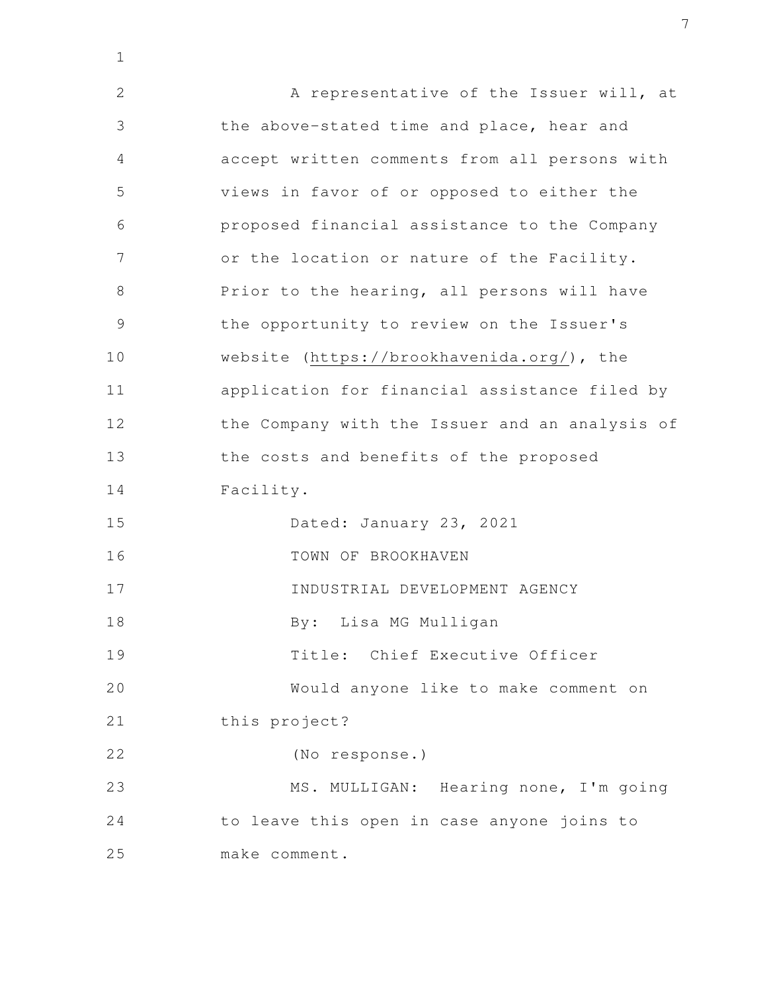A representative of the Issuer will, at the above-stated time and place, hear and accept written comments from all persons with views in favor of or opposed to either the proposed financial assistance to the Company or the location or nature of the Facility. Prior to the hearing, all persons will have the opportunity to review on the Issuer's website (https://brookhavenida.org/), the application for financial assistance filed by the Company with the Issuer and an analysis of the costs and benefits of the proposed Facility. Dated: January 23, 2021 TOWN OF BROOKHAVEN INDUSTRIAL DEVELOPMENT AGENCY By: Lisa MG Mulligan Title: Chief Executive Officer Would anyone like to make comment on this project? (No response.) MS. MULLIGAN: Hearing none, I'm going to leave this open in case anyone joins to make comment. 2 3 4 5 6 7 8 9 10 11 12 13 14 15 16 17 18 19 20 21 22 23 24 25

1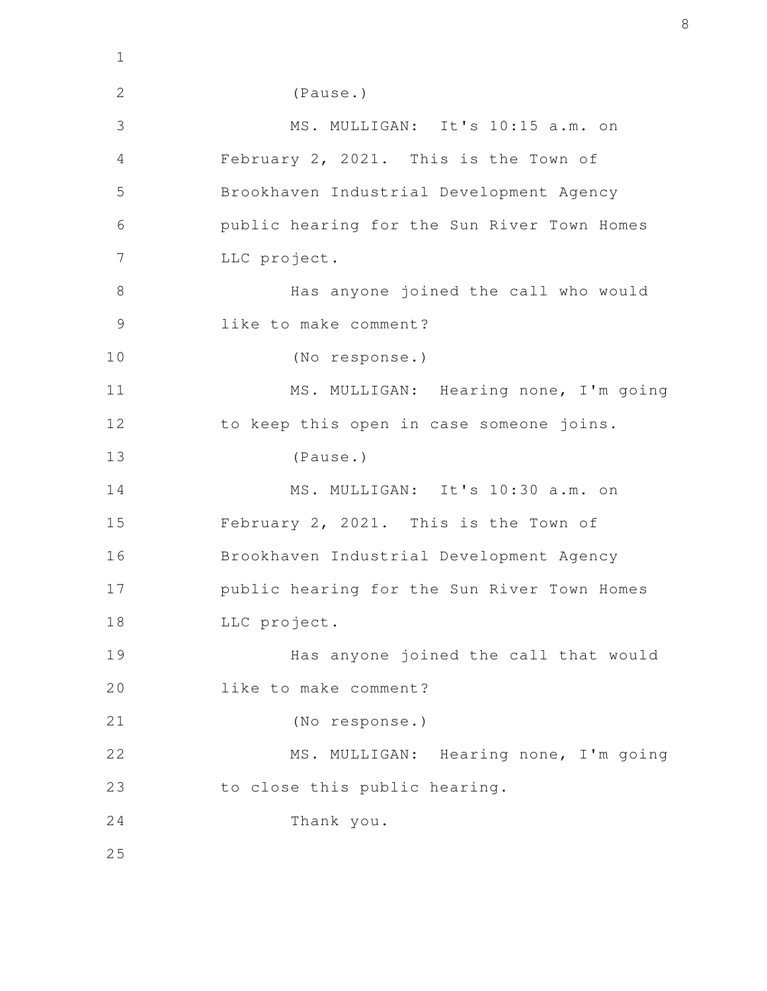| $\mathbf 1$   |                                             |
|---------------|---------------------------------------------|
| $\mathbf{2}$  | (Pause.)                                    |
| 3             | MS. MULLIGAN: It's 10:15 a.m. on            |
| 4             | February 2, 2021. This is the Town of       |
| 5             | Brookhaven Industrial Development Agency    |
| 6             | public hearing for the Sun River Town Homes |
| 7             | LLC project.                                |
| 8             | Has anyone joined the call who would        |
| $\mathcal{G}$ | like to make comment?                       |
| 10            | (No response.)                              |
| 11            | MS. MULLIGAN: Hearing none, I'm going       |
| 12            | to keep this open in case someone joins.    |
| 13            | (Pause.)                                    |
| 14            | MS. MULLIGAN: It's 10:30 a.m. on            |
| 15            | February 2, 2021. This is the Town of       |
| 16            | Brookhaven Industrial Development Agency    |
| 17            | public hearing for the Sun River Town Homes |
| 18            | LLC project.                                |
| 19            | Has anyone joined the call that would       |
| 20            | like to make comment?                       |
| 21            | (No response.)                              |
| 22            | MS. MULLIGAN: Hearing none, I'm going       |
| 23            | to close this public hearing.               |
| 24            | Thank you.                                  |
| 25            |                                             |